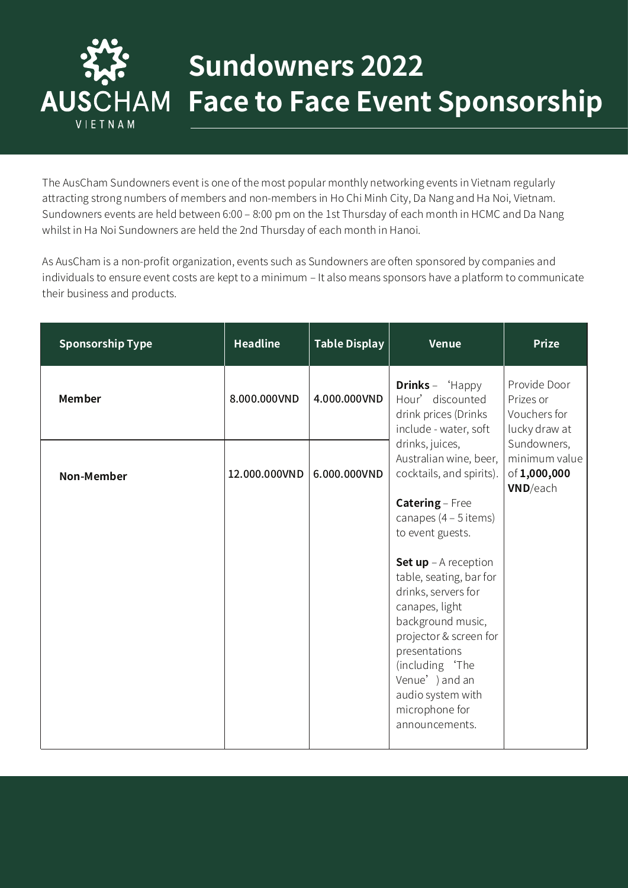

## **Sundowners 2022 Face to Face Event Sponsorship**

The AusCham Sundowners event is one of the most popular monthly networking events in Vietnam regularly attracting strong numbers of members and non-members in Ho Chi Minh City, Da Nang and Ha Noi, Vietnam. Sundowners events are held between 6:00 – 8:00 pm on the 1st Thursday of each month in HCMC and Da Nang whilst in Ha Noi Sundowners are held the 2nd Thursday of each month in Hanoi.

As AusCham is a non-profit organization, events such as Sundowners are often sponsored by companies and individuals to ensure event costs are kept to a minimum – It also means sponsors have a platform to communicate their business and products.

| <b>Sponsorship Type</b> | <b>Headline</b> | <b>Table Display</b> | <b>Venue</b>                                                                                                                                                      | <b>Prize</b>                                                    |
|-------------------------|-----------------|----------------------|-------------------------------------------------------------------------------------------------------------------------------------------------------------------|-----------------------------------------------------------------|
| <b>Member</b>           | 8.000.000VND    | 4.000.000VND         | <b>Drinks</b> – $H$ appy<br>Hour' discounted<br>drink prices (Drinks<br>include - water, soft                                                                     | Provide Door<br>Prizes or<br>Vouchers for<br>lucky draw at      |
| <b>Non-Member</b>       | 12.000.000VND   | 6.000.000VND         | drinks, juices,<br>Australian wine, beer,<br>cocktails, and spirits).                                                                                             | Sundowners,<br>minimum value<br>of 1,000,000<br><b>VND/each</b> |
|                         |                 |                      | Catering - Free<br>canapes $(4 - 5$ items)<br>to event guests.                                                                                                    |                                                                 |
|                         |                 |                      | <b>Set up</b> $-$ A reception<br>table, seating, bar for<br>drinks, servers for<br>canapes, light<br>background music,<br>projector & screen for<br>presentations |                                                                 |
|                         |                 |                      | (including 'The<br>Venue') and an<br>audio system with<br>microphone for<br>announcements.                                                                        |                                                                 |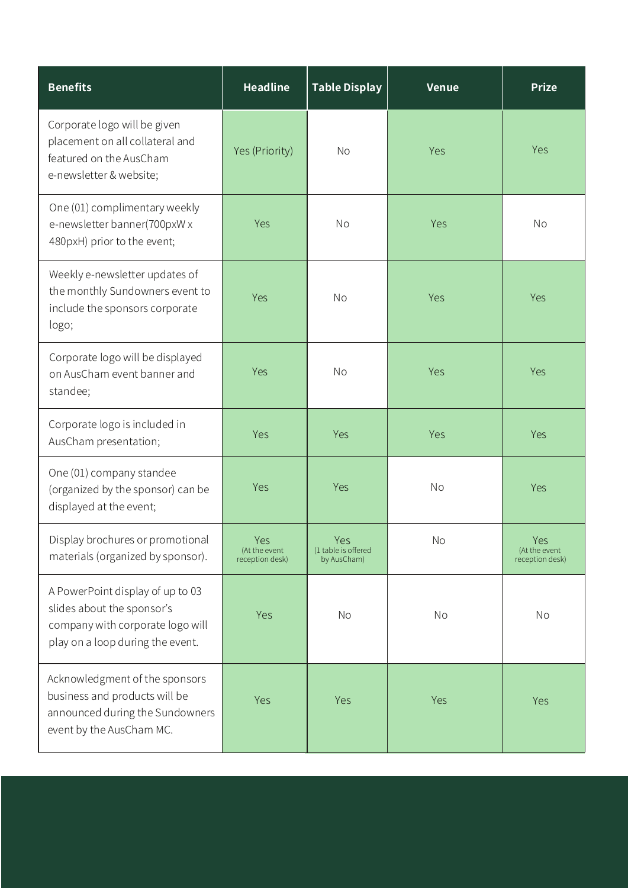| <b>Benefits</b>                                                                                                                        | <b>Headline</b>                         | <b>Table Display</b>                             | <b>Venue</b> | <b>Prize</b>                            |
|----------------------------------------------------------------------------------------------------------------------------------------|-----------------------------------------|--------------------------------------------------|--------------|-----------------------------------------|
| Corporate logo will be given<br>placement on all collateral and<br>featured on the AusCham<br>e-newsletter & website;                  | Yes (Priority)                          | <b>No</b>                                        | Yes          | Yes                                     |
| One (01) complimentary weekly<br>e-newsletter banner(700pxW x<br>480pxH) prior to the event;                                           | Yes                                     | <b>No</b>                                        | Yes          | <b>No</b>                               |
| Weekly e-newsletter updates of<br>the monthly Sundowners event to<br>include the sponsors corporate<br>logo;                           | Yes                                     | <b>No</b>                                        | Yes          | Yes                                     |
| Corporate logo will be displayed<br>on AusCham event banner and<br>standee;                                                            | Yes                                     | <b>No</b>                                        | Yes          | Yes                                     |
| Corporate logo is included in<br>AusCham presentation;                                                                                 | Yes                                     | Yes                                              | Yes          | Yes                                     |
| One (01) company standee<br>(organized by the sponsor) can be<br>displayed at the event;                                               | Yes                                     | Yes                                              | No           | Yes                                     |
| Display brochures or promotional<br>materials (organized by sponsor).                                                                  | Yes<br>(At the event<br>reception desk) | <b>Yes</b><br>(1 table is offered<br>by AusCham) | No           | Yes<br>(At the event<br>reception desk) |
| A PowerPoint display of up to 03<br>slides about the sponsor's<br>company with corporate logo will<br>play on a loop during the event. | Yes                                     | No                                               | No           | No                                      |
| Acknowledgment of the sponsors<br>business and products will be<br>announced during the Sundowners<br>event by the AusCham MC.         | Yes                                     | Yes                                              | Yes          | Yes                                     |